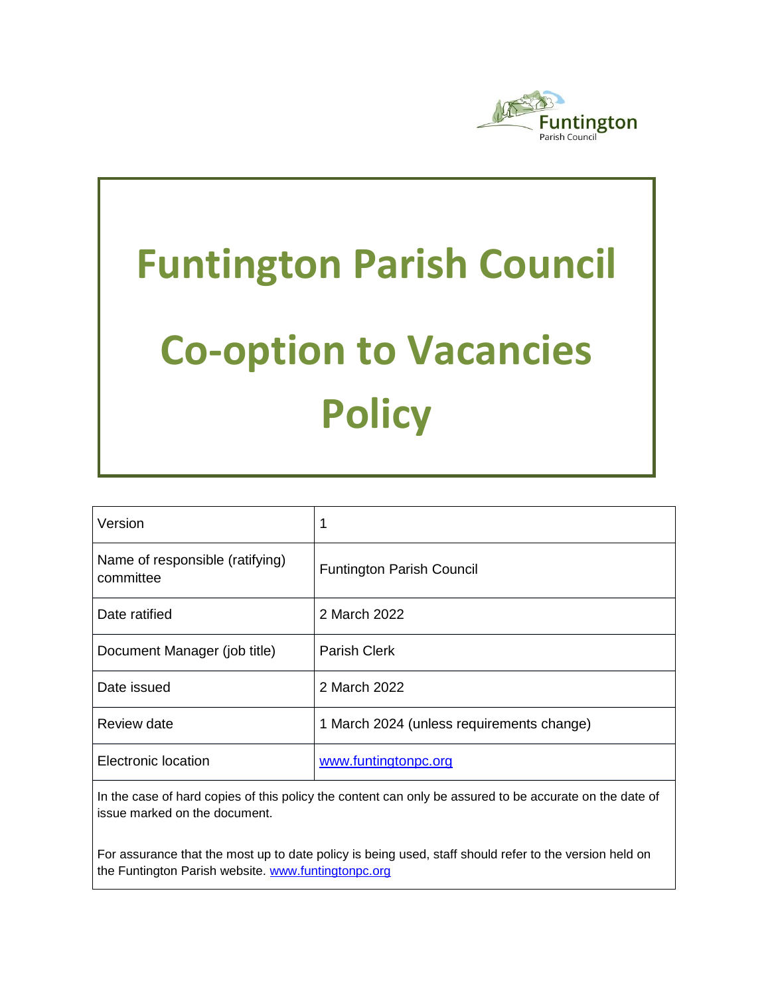

# **Funtington Parish Council Co-option to Vacancies Policy**

| Version                                      | 1                                         |
|----------------------------------------------|-------------------------------------------|
| Name of responsible (ratifying)<br>committee | <b>Funtington Parish Council</b>          |
| Date ratified                                | 2 March 2022                              |
| Document Manager (job title)                 | <b>Parish Clerk</b>                       |
| Date issued                                  | 2 March 2022                              |
| Review date                                  | 1 March 2024 (unless requirements change) |
| Electronic location                          | www.funtingtonpc.org                      |

In the case of hard copies of this policy the content can only be assured to be accurate on the date of issue marked on the document.

For assurance that the most up to date policy is being used, staff should refer to the version held on the Funtington Parish website. www.funtingtonpc.org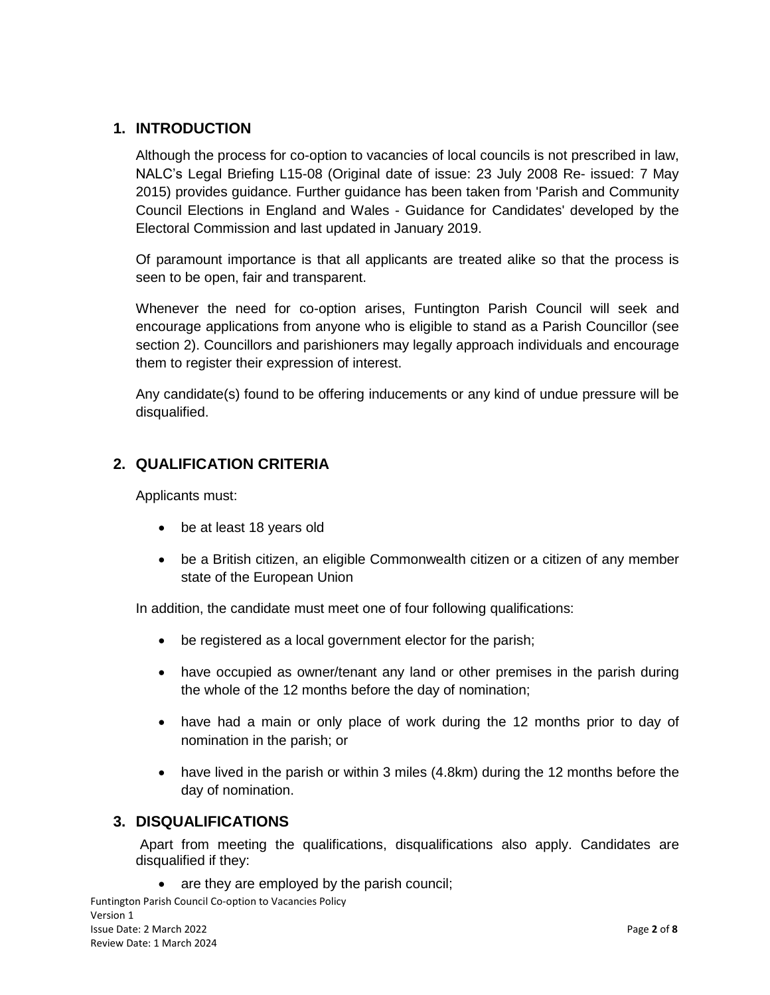## **1. INTRODUCTION**

Although the process for co-option to vacancies of local councils is not prescribed in law, NALC's Legal Briefing L15-08 (Original date of issue: 23 July 2008 Re- issued: 7 May 2015) provides guidance. Further guidance has been taken from 'Parish and Community Council Elections in England and Wales - Guidance for Candidates' developed by the Electoral Commission and last updated in January 2019.

Of paramount importance is that all applicants are treated alike so that the process is seen to be open, fair and transparent.

Whenever the need for co-option arises, Funtington Parish Council will seek and encourage applications from anyone who is eligible to stand as a Parish Councillor (see section 2). Councillors and parishioners may legally approach individuals and encourage them to register their expression of interest.

Any candidate(s) found to be offering inducements or any kind of undue pressure will be disqualified.

## **2. QUALIFICATION CRITERIA**

Applicants must:

- be at least 18 years old
- be a British citizen, an eligible Commonwealth citizen or a citizen of any member state of the European Union

In addition, the candidate must meet one of four following qualifications:

- be registered as a local government elector for the parish;
- have occupied as owner/tenant any land or other premises in the parish during the whole of the 12 months before the day of nomination;
- have had a main or only place of work during the 12 months prior to day of nomination in the parish; or
- have lived in the parish or within 3 miles (4.8km) during the 12 months before the day of nomination.

## **3. DISQUALIFICATIONS**

Apart from meeting the qualifications, disqualifications also apply. Candidates are disqualified if they:

• are they are employed by the parish council;

Funtington Parish Council Co-option to Vacancies Policy Version 1 Issue Date: 2 March 2022 Page **2** of **8** Review Date: 1 March 2024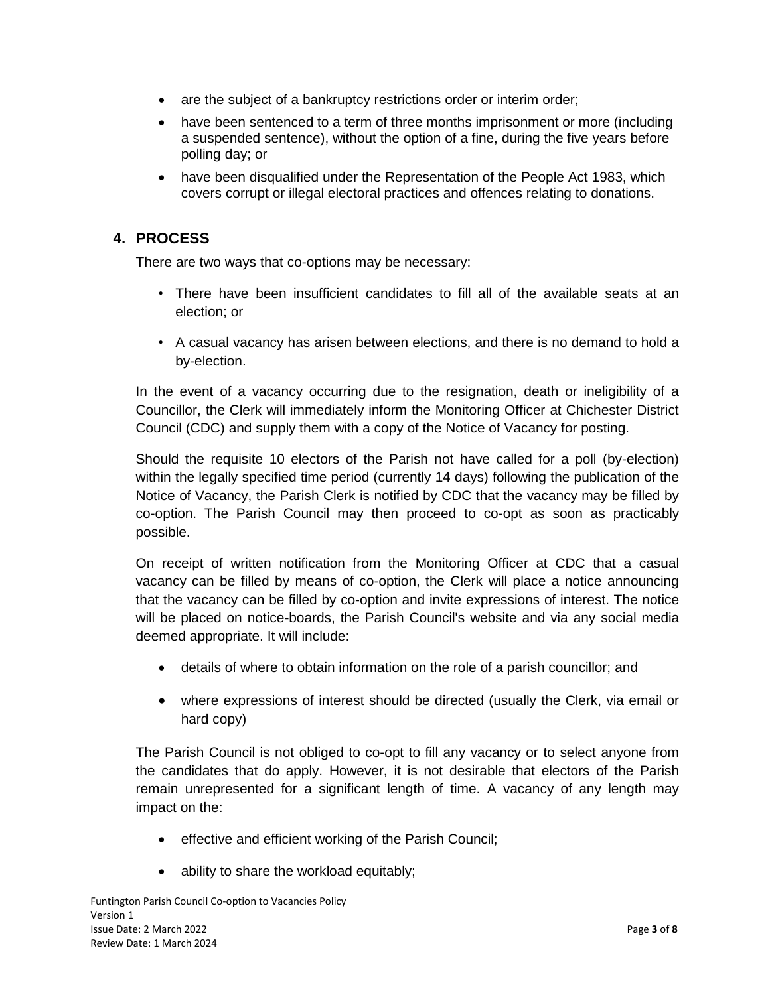- are the subject of a bankruptcy restrictions order or interim order;
- have been sentenced to a term of three months imprisonment or more (including a suspended sentence), without the option of a fine, during the five years before polling day; or
- have been disqualified under the Representation of the People Act 1983, which covers corrupt or illegal electoral practices and offences relating to donations.

## **4. PROCESS**

There are two ways that co-options may be necessary:

- There have been insufficient candidates to fill all of the available seats at an election; or
- A casual vacancy has arisen between elections, and there is no demand to hold a by-election.

In the event of a vacancy occurring due to the resignation, death or ineligibility of a Councillor, the Clerk will immediately inform the Monitoring Officer at Chichester District Council (CDC) and supply them with a copy of the Notice of Vacancy for posting.

Should the requisite 10 electors of the Parish not have called for a poll (by-election) within the legally specified time period (currently 14 days) following the publication of the Notice of Vacancy, the Parish Clerk is notified by CDC that the vacancy may be filled by co-option. The Parish Council may then proceed to co-opt as soon as practicably possible.

On receipt of written notification from the Monitoring Officer at CDC that a casual vacancy can be filled by means of co-option, the Clerk will place a notice announcing that the vacancy can be filled by co-option and invite expressions of interest. The notice will be placed on notice-boards, the Parish Council's website and via any social media deemed appropriate. It will include:

- details of where to obtain information on the role of a parish councillor; and
- where expressions of interest should be directed (usually the Clerk, via email or hard copy)

The Parish Council is not obliged to co-opt to fill any vacancy or to select anyone from the candidates that do apply. However, it is not desirable that electors of the Parish remain unrepresented for a significant length of time. A vacancy of any length may impact on the:

- effective and efficient working of the Parish Council;
- ability to share the workload equitably;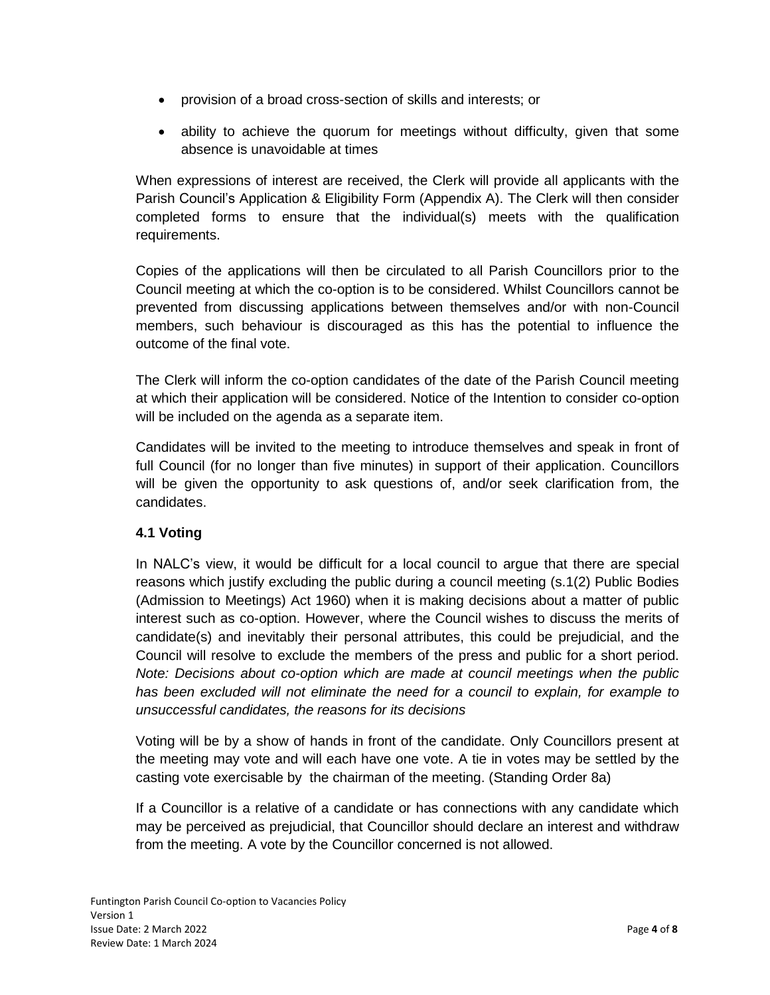- provision of a broad cross-section of skills and interests; or
- ability to achieve the quorum for meetings without difficulty, given that some absence is unavoidable at times

When expressions of interest are received, the Clerk will provide all applicants with the Parish Council's Application & Eligibility Form (Appendix A). The Clerk will then consider completed forms to ensure that the individual(s) meets with the qualification requirements.

Copies of the applications will then be circulated to all Parish Councillors prior to the Council meeting at which the co-option is to be considered. Whilst Councillors cannot be prevented from discussing applications between themselves and/or with non-Council members, such behaviour is discouraged as this has the potential to influence the outcome of the final vote.

The Clerk will inform the co-option candidates of the date of the Parish Council meeting at which their application will be considered. Notice of the Intention to consider co-option will be included on the agenda as a separate item.

Candidates will be invited to the meeting to introduce themselves and speak in front of full Council (for no longer than five minutes) in support of their application. Councillors will be given the opportunity to ask questions of, and/or seek clarification from, the candidates.

## **4.1 Voting**

In NALC's view, it would be difficult for a local council to argue that there are special reasons which justify excluding the public during a council meeting (s.1(2) Public Bodies (Admission to Meetings) Act 1960) when it is making decisions about a matter of public interest such as co-option. However, where the Council wishes to discuss the merits of candidate(s) and inevitably their personal attributes, this could be prejudicial, and the Council will resolve to exclude the members of the press and public for a short period. *Note: Decisions about co-option which are made at council meetings when the public has been excluded will not eliminate the need for a council to explain, for example to unsuccessful candidates, the reasons for its decisions*

Voting will be by a show of hands in front of the candidate. Only Councillors present at the meeting may vote and will each have one vote. A tie in votes may be settled by the casting vote exercisable by the chairman of the meeting. (Standing Order 8a)

If a Councillor is a relative of a candidate or has connections with any candidate which may be perceived as prejudicial, that Councillor should declare an interest and withdraw from the meeting. A vote by the Councillor concerned is not allowed.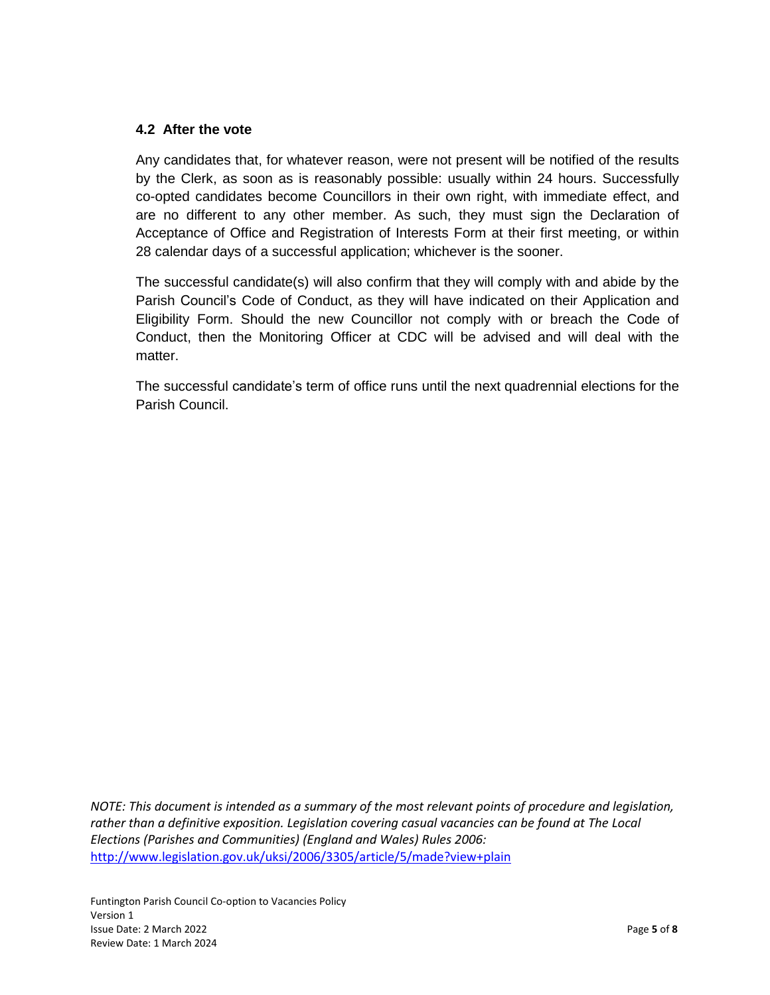#### **4.2 After the vote**

Any candidates that, for whatever reason, were not present will be notified of the results by the Clerk, as soon as is reasonably possible: usually within 24 hours. Successfully co-opted candidates become Councillors in their own right, with immediate effect, and are no different to any other member. As such, they must sign the Declaration of Acceptance of Office and Registration of Interests Form at their first meeting, or within 28 calendar days of a successful application; whichever is the sooner.

The successful candidate(s) will also confirm that they will comply with and abide by the Parish Council's Code of Conduct, as they will have indicated on their Application and Eligibility Form. Should the new Councillor not comply with or breach the Code of Conduct, then the Monitoring Officer at CDC will be advised and will deal with the matter.

The successful candidate's term of office runs until the next quadrennial elections for the Parish Council.

*NOTE: This document is intended as a summary of the most relevant points of procedure and legislation, rather than a definitive exposition. Legislation covering casual vacancies can be found at The Local Elections (Parishes and Communities) (England and Wales) Rules 2006:* <http://www.legislation.gov.uk/uksi/2006/3305/article/5/made?view+plain>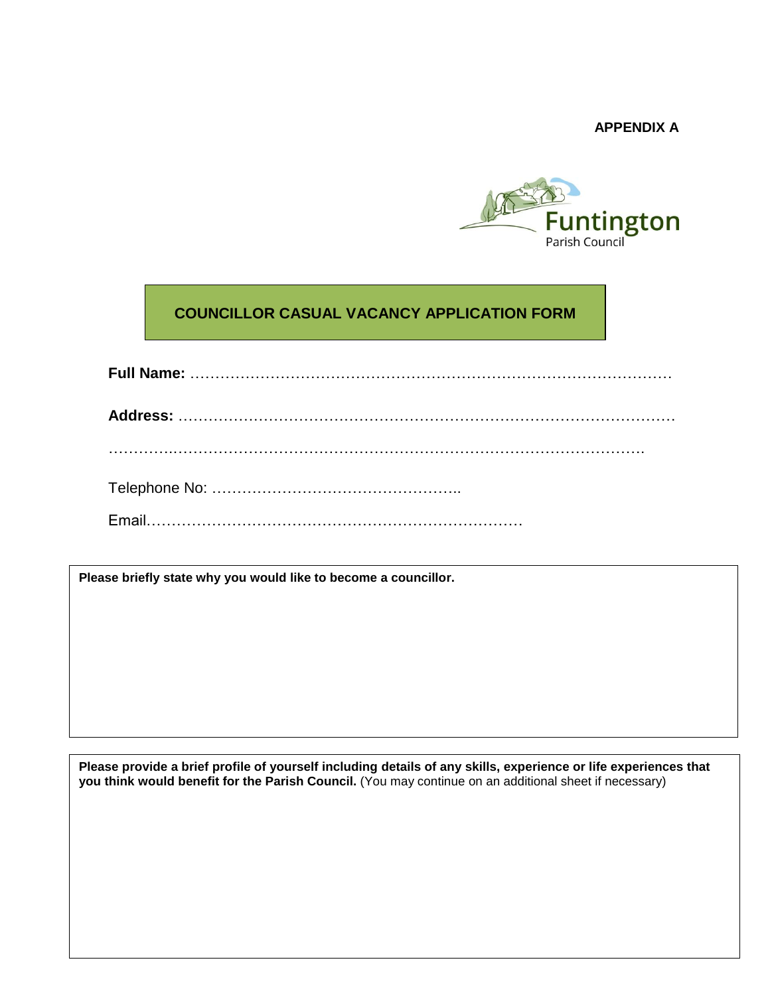**APPENDIX A**



# **COUNCILLOR CASUAL VACANCY APPLICATION FORM**

**Please briefly state why you would like to become a councillor.**

Please provide a brief profile of yourself including details of any skills, experience or life experiences that **you think would benefit for the Parish Council.** (You may continue on an additional sheet if necessary)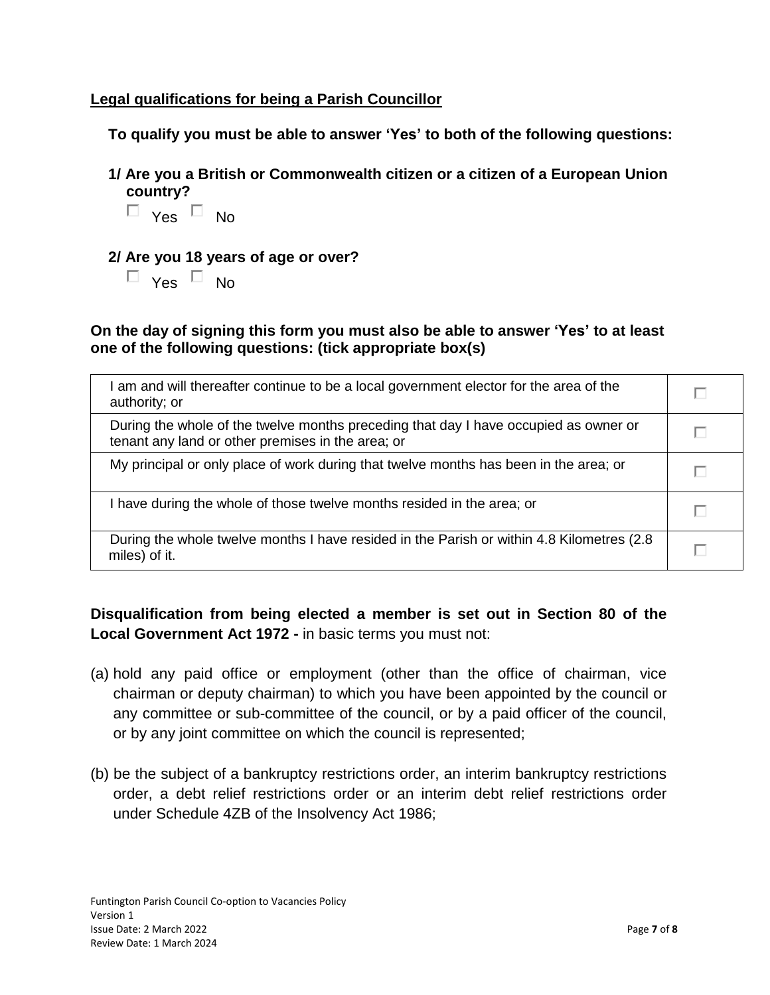## **Legal qualifications for being a Parish Councillor**

**To qualify you must be able to answer 'Yes' to both of the following questions:**

**1/ Are you a British or Commonwealth citizen or a citizen of a European Union country?**



## **2/ Are you 18 years of age or over?**

 $\Box$  Yes  $\Box$  No

**On the day of signing this form you must also be able to answer 'Yes' to at least one of the following questions: (tick appropriate box(s)**

| am and will thereafter continue to be a local government elector for the area of the<br>authority; or                                     |  |
|-------------------------------------------------------------------------------------------------------------------------------------------|--|
| During the whole of the twelve months preceding that day I have occupied as owner or<br>tenant any land or other premises in the area; or |  |
| My principal or only place of work during that twelve months has been in the area; or                                                     |  |
| have during the whole of those twelve months resided in the area; or                                                                      |  |
| During the whole twelve months I have resided in the Parish or within 4.8 Kilometres (2.8)<br>miles) of it.                               |  |

# **Disqualification from being elected a member is set out in Section 80 of the Local Government Act 1972 -** in basic terms you must not:

- (a) hold any paid office or employment (other than the office of chairman, vice chairman or deputy chairman) to which you have been appointed by the council or any committee or sub-committee of the council, or by a paid officer of the council, or by any joint committee on which the council is represented;
- (b) be the subject of a bankruptcy restrictions order, an interim bankruptcy restrictions order, a debt relief restrictions order or an interim debt relief restrictions order under Schedule 4ZB of the Insolvency Act 1986;